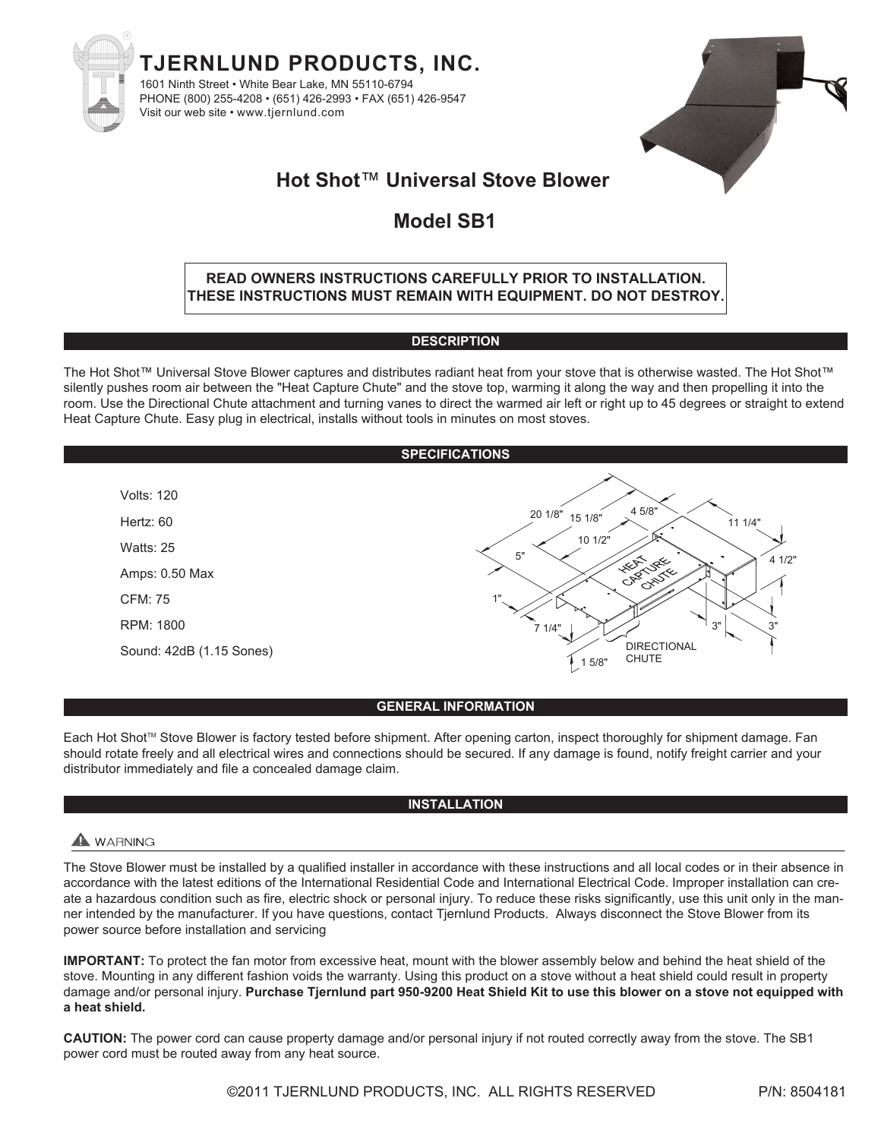



# **Hot Shot**™ **Universal Stove Blower**

# **Model SB1**

## **READ OWNERS INSTRUCTIONS CAREFULLY PRIOR TO INSTALLATION. THESE INSTRUCTIONS MUST REMAIN WITH EQUIPMENT. DO NOT DESTROY.**

### **DESCRIPTION**

The Hot Shot™ Universal Stove Blower captures and distributes radiant heat from your stove that is otherwise wasted. The Hot Shot™ silently pushes room air between the "Heat Capture Chute" and the stove top, warming it along the way and then propelling it into the room. Use the Directional Chute attachment and turning vanes to direct the warmed air left or right up to 45 degrees or straight to extend Heat Capture Chute. Easy plug in electrical, installs without tools in minutes on most stoves.



## **GENERAL INFORMATION**

Each Hot Shot™ Stove Blower is factory tested before shipment. After opening carton, inspect thoroughly for shipment damage. Fan should rotate freely and all electrical wires and connections should be secured. If any damage is found, notify freight carrier and your distributor immediately and file a concealed damage claim.

## **INSTALLATION**

## $\blacktriangle$  WARNING

The Stove Blower must be installed by a qualified installer in accordance with these instructions and all local codes or in their absence in accordance with the latest editions of the International Residential Code and International Electrical Code. Improper installation can create a hazardous condition such as fire, electric shock or personal injury. To reduce these risks significantly, use this unit only in the manner intended by the manufacturer. If you have questions, contact Tjernlund Products. Always disconnect the Stove Blower from its power source before installation and servicing

**IMPORTANT:** To protect the fan motor from excessive heat, mount with the blower assembly below and behind the heat shield of the stove. Mounting in any different fashion voids the warranty. Using this product on a stove without a heat shield could result in property damage and/or personal injury. **Purchase Tjernlund part 950-9200 Heat Shield Kit to use this blower on a stove not equipped with a heat shield.**

**CAUTION:** The power cord can cause property damage and/or personal injury if not routed correctly away from the stove. The SB1 power cord must be routed away from any heat source.